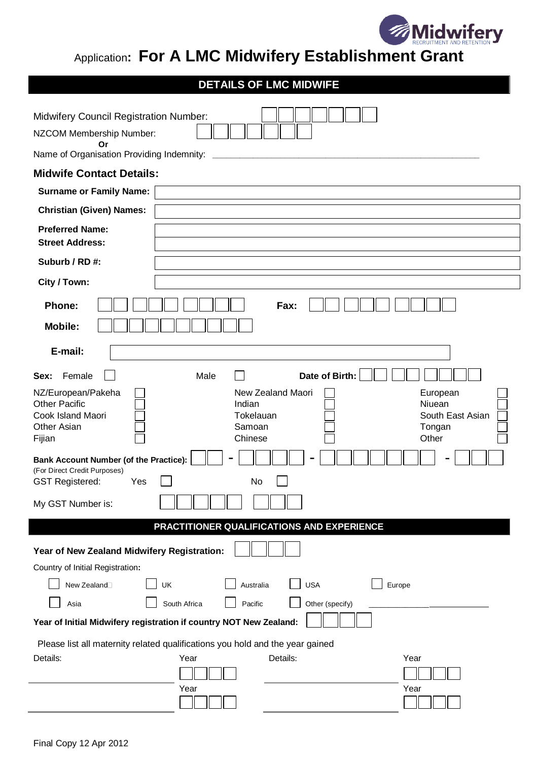

## Application**: For A LMC Midwifery Establishment Grant**

## **DETAILS OF LMC MIDWIFE**

| <b>Midwifery Council Registration Number:</b>                                                                  |                                                                                                                            |  |  |  |  |
|----------------------------------------------------------------------------------------------------------------|----------------------------------------------------------------------------------------------------------------------------|--|--|--|--|
| NZCOM Membership Number:<br>Or                                                                                 |                                                                                                                            |  |  |  |  |
| Name of Organisation Providing Indemnity:                                                                      |                                                                                                                            |  |  |  |  |
| <b>Midwife Contact Details:</b>                                                                                |                                                                                                                            |  |  |  |  |
| <b>Surname or Family Name:</b>                                                                                 |                                                                                                                            |  |  |  |  |
| <b>Christian (Given) Names:</b>                                                                                |                                                                                                                            |  |  |  |  |
| <b>Preferred Name:</b><br><b>Street Address:</b>                                                               |                                                                                                                            |  |  |  |  |
| Suburb / RD#:                                                                                                  |                                                                                                                            |  |  |  |  |
| City / Town:                                                                                                   |                                                                                                                            |  |  |  |  |
| Phone:<br><b>Mobile:</b>                                                                                       | Fax:                                                                                                                       |  |  |  |  |
| E-mail:                                                                                                        |                                                                                                                            |  |  |  |  |
| Female<br>Sex:                                                                                                 | Date of Birth:<br>Male                                                                                                     |  |  |  |  |
| NZ/European/Pakeha<br><b>Other Pacific</b><br>Cook Island Maori<br>Other Asian<br>Fijian                       | New Zealand Maori<br>European<br>Indian<br>Niuean<br>Tokelauan<br>South East Asian<br>Samoan<br>Tongan<br>Other<br>Chinese |  |  |  |  |
| <b>Bank Account Number (of the Practice):</b><br>(For Direct Credit Purposes)<br><b>GST Registered:</b><br>Yes | No                                                                                                                         |  |  |  |  |
| My GST Number is:                                                                                              |                                                                                                                            |  |  |  |  |
|                                                                                                                | PRACTITIONER QUALIFICATIONS AND EXPERIENCE                                                                                 |  |  |  |  |
| Year of New Zealand Midwifery Registration:                                                                    |                                                                                                                            |  |  |  |  |
| Country of Initial Registration:                                                                               |                                                                                                                            |  |  |  |  |
| New Zealand <sup>[1]</sup>                                                                                     | <b>USA</b><br>UK<br>Europe<br>Australia                                                                                    |  |  |  |  |
| Asia                                                                                                           | South Africa<br>Pacific<br>Other (specify)                                                                                 |  |  |  |  |
| Year of Initial Midwifery registration if country NOT New Zealand:                                             |                                                                                                                            |  |  |  |  |
| Details:                                                                                                       | Please list all maternity related qualifications you hold and the year gained<br>Details:<br>Year<br>Year<br>Year<br>Year  |  |  |  |  |